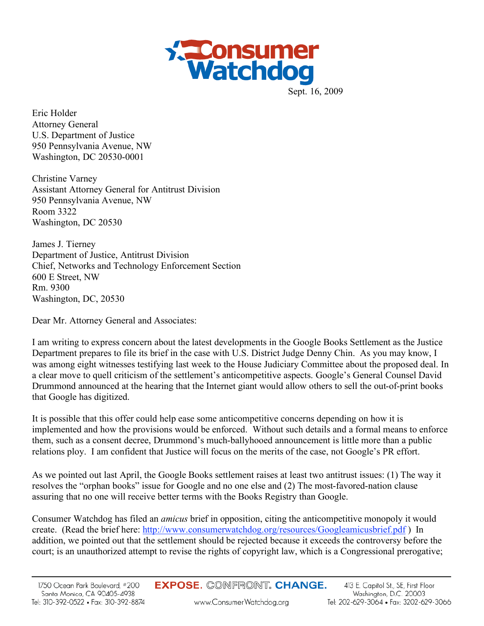

Sept. 16, 2009

Eric Holder Attorney General U.S. Department of Justice 950 Pennsylvania Avenue, NW Washington, DC 20530-0001

Christine Varney Assistant Attorney General for Antitrust Division 950 Pennsylvania Avenue, NW Room 3322 Washington, DC 20530

James J. Tierney Department of Justice, Antitrust Division Chief, Networks and Technology Enforcement Section 600 E Street, NW Rm. 9300 Washington, DC, 20530

Dear Mr. Attorney General and Associates:

I am writing to express concern about the latest developments in the Google Books Settlement as the Justice Department prepares to file its brief in the case with U.S. District Judge Denny Chin. As you may know, I was among eight witnesses testifying last week to the House Judiciary Committee about the proposed deal. In a clear move to quell criticism of the settlement's anticompetitive aspects. Google's General Counsel David Drummond announced at the hearing that the Internet giant would allow others to sell the out-of-print books that Google has digitized.

It is possible that this offer could help ease some anticompetitive concerns depending on how it is implemented and how the provisions would be enforced. Without such details and a formal means to enforce them, such as a consent decree, Drummond's much-ballyhooed announcement is little more than a public relations ploy. I am confident that Justice will focus on the merits of the case, not Google's PR effort.

As we pointed out last April, the Google Books settlement raises at least two antitrust issues: (1) The way it resolves the "orphan books" issue for Google and no one else and (2) The most-favored-nation clause assuring that no one will receive better terms with the Books Registry than Google.

Consumer Watchdog has filed an *amicus* brief in opposition, citing the anticompetitive monopoly it would create. (Read the brief here: http://www.consumerwatchdog.org/resources/Googleamicusbrief.pdf ) In addition, we pointed out that the settlement should be rejected because it exceeds the controversy before the court; is an unauthorized attempt to revise the rights of copyright law, which is a Congressional prerogative;